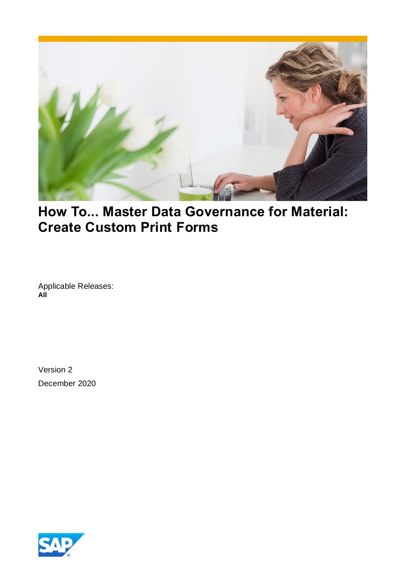

## **How To... Master Data Governance for Material: Create Custom Print Forms**

Applicable Releases: **All**

Version 2 December 2020

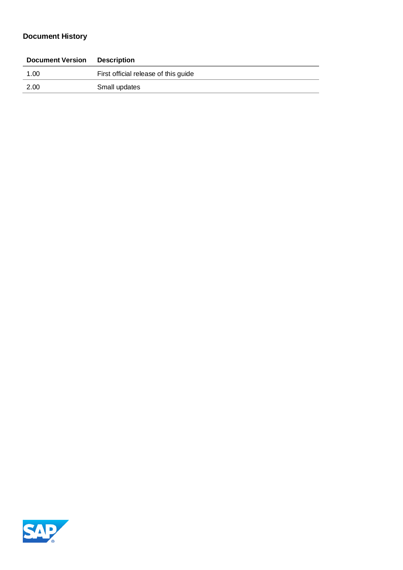## **Document History**

| <b>Document Version</b> | <b>Description</b>                   |
|-------------------------|--------------------------------------|
| 1.00                    | First official release of this guide |
| 2.00                    | Small updates                        |
|                         |                                      |

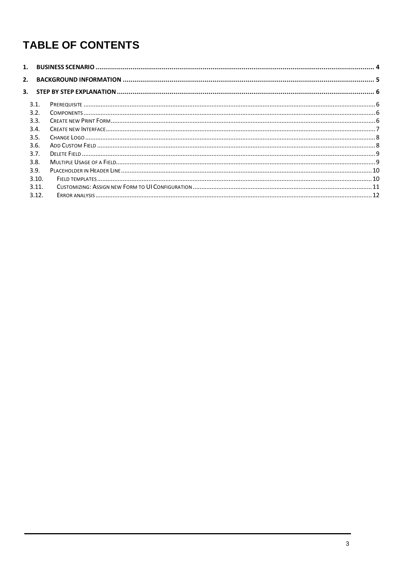# **TABLE OF CONTENTS**

| 1. |       |  |
|----|-------|--|
| 2. |       |  |
| 3. |       |  |
|    | 3.1.  |  |
|    | 3.2.  |  |
|    | 3.3.  |  |
|    | 3.4.  |  |
|    | 3.5.  |  |
|    | 3.6.  |  |
|    | 3.7.  |  |
|    | 3.8.  |  |
|    | 3.9.  |  |
|    | 3.10. |  |
|    | 3.11. |  |
|    | 3.12. |  |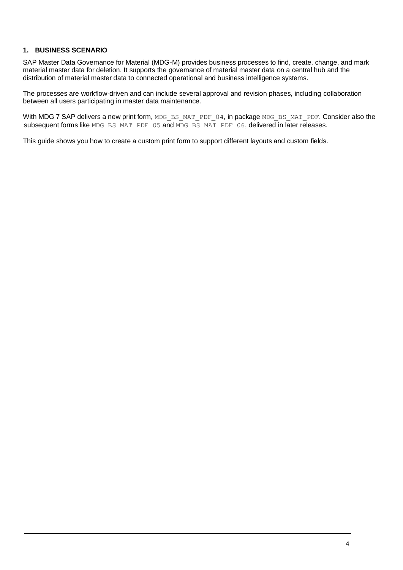#### <span id="page-3-0"></span>**1. BUSINESS SCENARIO**

SAP Master Data Governance for Material (MDG-M) provides business processes to find, create, change, and mark material master data for deletion. It supports the governance of material master data on a central hub and the distribution of material master data to connected operational and business intelligence systems.

The processes are workflow-driven and can include several approval and revision phases, including collaboration between all users participating in master data maintenance.

With MDG 7 SAP delivers a new print form, MDG\_BS\_MAT\_PDF\_04, in package MDG\_BS\_MAT\_PDF. Consider also the subsequent forms like MDG\_BS\_MAT\_PDF\_05 and MDG\_BS\_MAT\_PDF\_06, delivered in later releases.

This guide shows you how to create a custom print form to support different layouts and custom fields.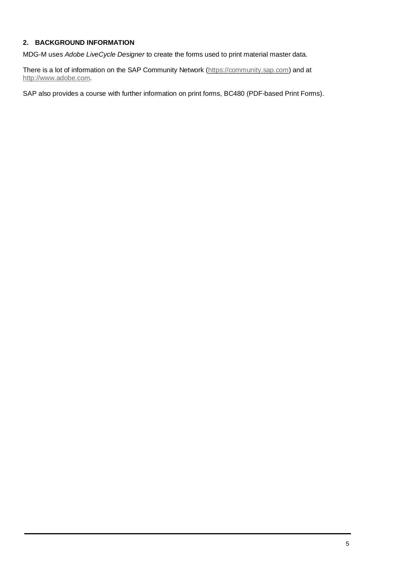#### <span id="page-4-0"></span>**2. BACKGROUND INFORMATION**

MDG-M uses *Adobe LiveCycle Designer* to create the forms used to print material master data.

There is a lot of information on the SAP Community Network [\(https://community.sap.com\)](https://community.sap.com/) and at [http://www.adobe.com.](http://www.adobe.com/)

SAP also provides a course with further information on print forms, BC480 (PDF-based Print Forms).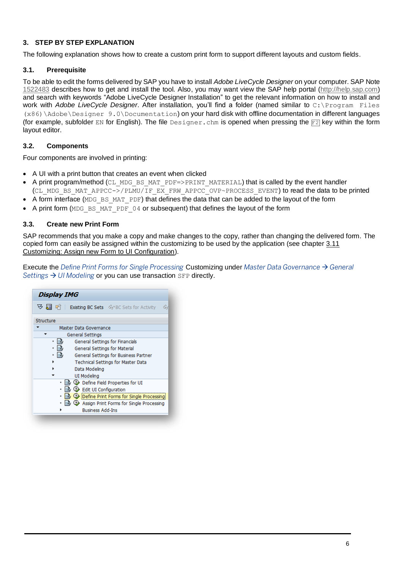#### <span id="page-5-0"></span>**3. STEP BY STEP EXPLANATION**

The following explanation shows how to create a custom print form to support different layouts and custom fields.

#### <span id="page-5-1"></span>**3.1. Prerequisite**

To be able to edit the forms delivered by SAP you have to install *Adobe LiveCycle Designer* on your computer. SAP Note [1522483](https://launchpad.support.sap.com/#/notes/1522483) describes how to get and install the tool. Also, you may want view the SAP help portal [\(http://help.sap.com\)](http://help.sap.com/) and search with keywords "Adobe LiveCycle Designer Installation" to get the relevant information on how to install and work with *Adobe LiveCycle Designer*. After installation, you'll find a folder (named similar to C:\Program Files (x86)\Adobe\Designer 9.0\Documentation) on your hard disk with offline documentation in different languages (for example, subfolder EN for English). The file Designer.chm is opened when pressing the  $F2$  key within the form layout editor.

#### <span id="page-5-2"></span>**3.2. Components**

Four components are involved in printing:

- A UI with a print button that creates an event when clicked
- A print program/method (CL\_MDG\_BS\_MAT\_PDF=>PRINT\_MATERIAL) that is called by the event handler (CL\_MDG\_BS\_MAT\_APPCC->/PLMU/IF\_EX\_FRW\_APPCC\_OVP~PROCESS\_EVENT) to read the data to be printed
- A form interface (MDG\_BS\_MAT\_PDF) that defines the data that can be added to the layout of the form
- A print form (MDG\_BS\_MAT\_PDF\_04 or subsequent) that defines the layout of the form

#### <span id="page-5-3"></span>**3.3. Create new Print Form**

SAP recommends that you make a copy and make changes to the copy, rather than changing the delivered form. The copied form can easily be assigned within the customizing to be used by the application (see chapter [3.11](#page-10-0) [Customizing: Assign new Form to UI Configuration\)](#page-10-0).

Execute the *Define Print Forms for Single Processing* Customizing under *Master Data Governance* → *General Settings → UI Modeling* or you can use transaction SFP directly.

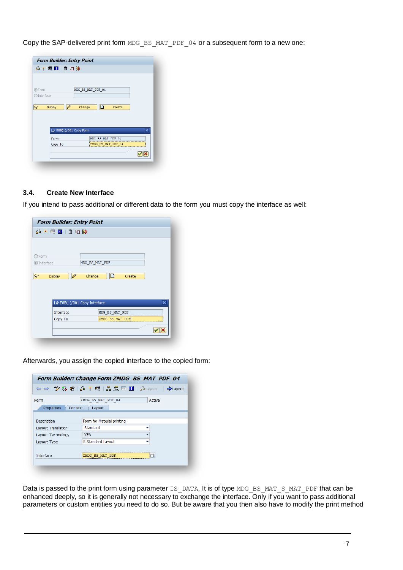Copy the SAP-delivered print form MDG\_BS\_MAT\_PDF\_04 or a subsequent form to a new one:

|                      | 台米每日10000                       |                       |                         |
|----------------------|---------------------------------|-----------------------|-------------------------|
| <b>O</b> Form        |                                 | MDG BS MAT PDF 04     |                         |
| $\bigcirc$ Interface |                                 |                       |                         |
|                      |                                 |                       |                         |
| bor                  | $\mathscr{D}$<br><b>Display</b> | n<br>Change<br>Create |                         |
|                      |                                 |                       |                         |
|                      |                                 |                       |                         |
|                      |                                 |                       |                         |
|                      | [ E8B(1)/001 Copy Form          |                       | $\overline{\mathbf{x}}$ |
|                      | Form                            | MDG BS MAT PDF 04     |                         |
|                      | Copy To                         | ZMDG BS MAT PDF 04    |                         |
|                      |                                 |                       |                         |

#### <span id="page-6-0"></span>**3.4. Create New Interface**

If you intend to pass additional or different data to the form you must copy the interface as well:

| Create                  |
|-------------------------|
|                         |
|                         |
|                         |
|                         |
|                         |
|                         |
|                         |
| $\overline{\mathsf{x}}$ |
| MDG_BS_MAT_PDF          |
| ZMDG_BS_MAT_PDF         |
|                         |
|                         |

Afterwards, you assign the copied interface to the copied form:

|                       | $\left\langle \mathbf{a} \right  \Rightarrow \mathbf{b} \Rightarrow \mathbf{c} \Rightarrow \mathbf{c} \Rightarrow \mathbf{c} \Rightarrow \mathbf{c} \Rightarrow \mathbf{c} \Rightarrow \mathbf{c} \Rightarrow \mathbf{c} \Rightarrow \mathbf{c} \Rightarrow \mathbf{c} \Rightarrow \mathbf{c} \Rightarrow \mathbf{c} \Rightarrow \mathbf{c} \Rightarrow \mathbf{c} \Rightarrow \mathbf{c} \Rightarrow \mathbf{c} \Rightarrow \mathbf{c} \Rightarrow \mathbf{c} \Rightarrow \mathbf{c} \Rightarrow \mathbf{c} \Rightarrow \mathbf{c} \Rightarrow \mathbf{c} \Rightarrow \mathbf{c} \Rightarrow \mathbf{c} \Rightarrow \mathbf{c} \Rightarrow \mathbf{c$ |        |
|-----------------------|--------------------------------------------------------------------------------------------------------------------------------------------------------------------------------------------------------------------------------------------------------------------------------------------------------------------------------------------------------------------------------------------------------------------------------------------------------------------------------------------------------------------------------------------------------------------------------------------------------------------------------------------------------|--------|
| Form                  | ZMDG BS MAT PDF 04                                                                                                                                                                                                                                                                                                                                                                                                                                                                                                                                                                                                                                     | Active |
| Context<br>Properties | Layout                                                                                                                                                                                                                                                                                                                                                                                                                                                                                                                                                                                                                                                 |        |
| <b>Description</b>    | Form for Material printing                                                                                                                                                                                                                                                                                                                                                                                                                                                                                                                                                                                                                             |        |
| Layout Translation    | Standard                                                                                                                                                                                                                                                                                                                                                                                                                                                                                                                                                                                                                                               |        |
| Layout Technology     | <b>XFA</b>                                                                                                                                                                                                                                                                                                                                                                                                                                                                                                                                                                                                                                             |        |
| Layout Type           | S Standard Layout                                                                                                                                                                                                                                                                                                                                                                                                                                                                                                                                                                                                                                      |        |
|                       |                                                                                                                                                                                                                                                                                                                                                                                                                                                                                                                                                                                                                                                        |        |
| <b>Interface</b>      |                                                                                                                                                                                                                                                                                                                                                                                                                                                                                                                                                                                                                                                        |        |

Data is passed to the print form using parameter IS DATA. It is of type MDG\_BS\_MAT\_S\_MAT\_PDF that can be enhanced deeply, so it is generally not necessary to exchange the interface. Only if you want to pass additional parameters or custom entities you need to do so. But be aware that you then also have to modify the print method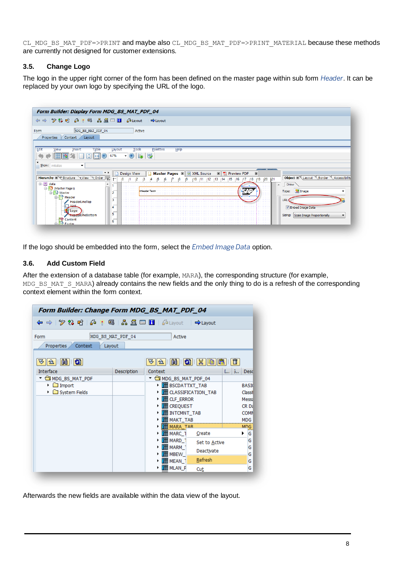CL\_MDG\_BS\_MAT\_PDF=>PRINT and maybe also CL\_MDG\_BS\_MAT\_PDF=>PRINT\_MATERIAL because these methods are currently not designed for customer extensions.

#### <span id="page-7-0"></span>**3.5. Change Logo**

The logo in the upper right corner of the form has been defined on the master page within sub form *Header*. It can be replaced by your own logo by specifying the URL of the logo.

| 品量回日<br>$\mathscr{D}$ $\mathbb{C}$ of $\mathbb{C}$<br>습<br>米 国<br>a Layout<br>$\Rightarrow$ Layout<br>$\Rightarrow$<br>MDG_BS_MAT_PDF_04<br>Active<br>Form<br>Properties<br>Context<br>Layout<br>Edit<br><b>Table</b><br>Palettes<br>Help<br><b>Tools</b><br><b>View</b><br>Insert<br>Layout<br>勗<br>485<br>67%<br>₩<br>Show: initialize<br>$\overline{\phantom{a}}$<br>$\star$ x<br>$\mathbb{E}$ $\left  \frac{1}{\sqrt{2}} \right $ Preview PDF<br><b>Master Pages <math>\mathbb{E}</math></b> $\sqrt{\omega}$ XML Source<br><b>Design View</b><br>$\boxed{\mathbf{x}}$<br>Hierarchy E Structure View Q Order<br>Object X Layout Border<br>Accessibility<br> 21<br> 19 <br> 20<br>15<br>16<br>∣18.<br>$\boxminus$ $\blacksquare$<br>data<br>Draw<br>$\blacktriangle$<br>٠<br>Master Pages)<br><b>E</b> Image<br>Type:<br><header text=""><br/><b>D</b> Master<br/><math>\overline{2}</math><br/>Ė.<br/>Header<br/>3<br/>URL:<br/>HeaderLineTop<br/>V Embed Image Data<br/>4<br/>Logo</header> | Form Builder: Display Form MDG_BS_MAT_PDF_04 |                                         |
|-------------------------------------------------------------------------------------------------------------------------------------------------------------------------------------------------------------------------------------------------------------------------------------------------------------------------------------------------------------------------------------------------------------------------------------------------------------------------------------------------------------------------------------------------------------------------------------------------------------------------------------------------------------------------------------------------------------------------------------------------------------------------------------------------------------------------------------------------------------------------------------------------------------------------------------------------------------------------------------------------|----------------------------------------------|-----------------------------------------|
|                                                                                                                                                                                                                                                                                                                                                                                                                                                                                                                                                                                                                                                                                                                                                                                                                                                                                                                                                                                                 |                                              |                                         |
|                                                                                                                                                                                                                                                                                                                                                                                                                                                                                                                                                                                                                                                                                                                                                                                                                                                                                                                                                                                                 |                                              |                                         |
|                                                                                                                                                                                                                                                                                                                                                                                                                                                                                                                                                                                                                                                                                                                                                                                                                                                                                                                                                                                                 |                                              |                                         |
|                                                                                                                                                                                                                                                                                                                                                                                                                                                                                                                                                                                                                                                                                                                                                                                                                                                                                                                                                                                                 |                                              |                                         |
| Content<br>₩<br>6<br>Footer                                                                                                                                                                                                                                                                                                                                                                                                                                                                                                                                                                                                                                                                                                                                                                                                                                                                                                                                                                     | <b>HeaderLineBottom</b>                      | 5<br>Sizing: Scale Image Proportionally |

If the logo should be embedded into the form, select the *Embed Image Data* option.

### <span id="page-7-1"></span>**3.6. Add Custom Field**

After the extension of a database table (for example, MARA), the corresponding structure (for example, MDG\_BS\_MAT\_S\_MARA) already contains the new fields and the only thing to do is a refresh of the corresponding context element within the form context.

| Form Builder: Change Form MDG_BS_MAT_PDF_04                                                 |                   |                                                                    |                                         |
|---------------------------------------------------------------------------------------------|-------------------|--------------------------------------------------------------------|-----------------------------------------|
|                                                                                             |                   |                                                                    |                                         |
| Form<br>Context<br><b>Properties</b><br>Layout                                              | MDG BS MAT PDF 04 | Active                                                             |                                         |
| $\mathbb{H} \mathbb{I}$ si<br>ਦ∕<br>11 2 I<br><b>Interface</b>                              | Description       | (h)   5)   X   C<br>ਦ∕<br>$\triangleright$<br>Context              | $[]$ $3$<br><b>Desd</b>                 |
| ▼ MDG_BS_MAT_PDF<br>$\triangleright$ $\Box$ Import<br>$\triangleright$ $\Box$ System Fields |                   | MDG BS MAT PDF 04<br>BSCDATTXT_TAB<br><b>TH</b> CLASSIFICATION TAB | <b>BASI</b><br>Classif                  |
|                                                                                             |                   | <b>TH</b> CLF_ERROR<br><b>TH</b> CREQUEST                          | Messa<br><b>CRD<sub>2</sub></b>         |
|                                                                                             |                   | <b>THE INTCMNT_TAB</b><br><b>TH</b> MAKT TAB<br>MARA TAR           | <b>COMN</b><br><b>MDG</b><br><b>MDG</b> |
|                                                                                             |                   | <b>TH</b> MARC_1<br>Create<br>MARD_1<br>Set to Active              | G<br>▶<br>G                             |
|                                                                                             |                   | MARM_1<br>Deactivate<br><b>TH</b> MBEW                             | G<br>G                                  |
|                                                                                             |                   | Refresh<br><b>TH</b> MEAN 1<br><b>THE MLAN_P</b><br>Cut            | G<br>G                                  |

Afterwards the new fields are available within the data view of the layout.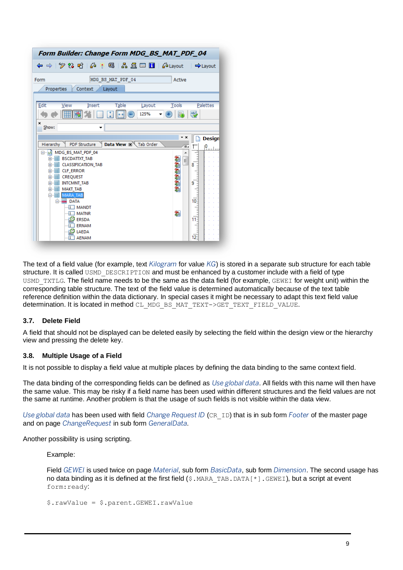| Form Builder: Change Form MDG_BS_MAT_PDF_04                      |                             |
|------------------------------------------------------------------|-----------------------------|
|                                                                  | $\Rightarrow$ Layout        |
| MDG BS MAT PDF 04<br>Form<br>Active                              |                             |
| Context<br>Layout<br>Properties                                  |                             |
| Edit<br><b>Table</b><br>Insert<br>Layout<br>Tools<br>View        | Palettes                    |
| 最<br>125%                                                        | 懸                           |
| ×<br>Show:                                                       |                             |
| * ×                                                              | <b>Design</b>               |
| Data View X Tab Order<br><b>PDF Structure</b><br>Hierarchy<br>Έ. | $\mathbf{P}_{\text{total}}$ |
| MDG_BS_MAT_PDF_04<br>⊟…                                          |                             |
| E-FE BSCDATTXT TAB<br>Ξ                                          |                             |
| <b>CLASSIFICATION TAB</b><br>⊕−   ⊞ <br><b>CLF ERROR</b><br>画用   | 8                           |
| 画用<br><b>CREQUEST</b>                                            |                             |
| ⊕−    <br><b>INTCMNT TAB</b>                                     | 9                           |
| <b>MAKT TAB</b><br>⊕−                                            |                             |
| <b>D-ITE</b><br><b>MARA TAB</b>                                  |                             |
| <b>⊟</b> DATA                                                    | $10^{-}$                    |
| $-\sqrt{1}$ MANDT                                                |                             |
| 劉<br><b>MATNR</b><br>{X                                          |                             |
| <b>ERSDA</b>                                                     | 11 <sup>2</sup>             |
| <b>ERNAM</b>                                                     |                             |
| LAEDA<br><b>AENAM</b>                                            | $12 -$                      |
|                                                                  |                             |

The text of a field value (for example, text *Kilogram* for value *KG*) is stored in a separate sub structure for each table structure. It is called USMD DESCRIPTION and must be enhanced by a customer include with a field of type USMD\_TXTLG. The field name needs to be the same as the data field (for example, GEWEI for weight unit) within the corresponding table structure. The text of the field value is determined automatically because of the text table reference definition within the data dictionary. In special cases it might be necessary to adapt this text field value determination. It is located in method CL\_MDG\_BS\_MAT\_TEXT->GET\_TEXT\_FIELD\_VALUE.

#### <span id="page-8-0"></span>**3.7. Delete Field**

A field that should not be displayed can be deleted easily by selecting the field within the design view or the hierarchy view and pressing the delete key.

#### <span id="page-8-1"></span>**3.8. Multiple Usage of a Field**

It is not possible to display a field value at multiple places by defining the data binding to the same context field.

The data binding of the corresponding fields can be defined as *Use global data*. All fields with this name will then have the same value. This may be risky if a field name has been used within different structures and the field values are not the same at runtime. Another problem is that the usage of such fields is not visible within the data view.

*Use global data* has been used with field *Change Request ID* (CR\_ID) that is in sub form *Footer* of the master page and on page *ChangeRequest* in sub form *GeneralData*.

Another possibility is using scripting.

Example:

Field *GEWEI* is used twice on page *Material*, sub form *BasicData*, sub form *Dimension*. The second usage has no data binding as it is defined at the first field  $(\xi \cdot \text{MARA} \cdot \text{TAB} \cdot \text{DATA}[\star] \cdot \text{GEWEI})$ , but a script at event form: ready:

\$.rawValue = \$.parent.GEWEI.rawValue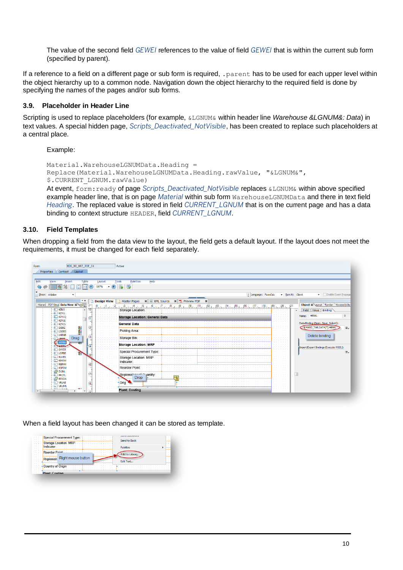The value of the second field *GEWEI* references to the value of field *GEWEI* that is within the current sub form (specified by parent).

If a reference to a field on a different page or sub form is required, . parent has to be used for each upper level within the object hierarchy up to a common node. Navigation down the object hierarchy to the required field is done by specifying the names of the pages and/or sub forms.

#### <span id="page-9-0"></span>**3.9. Placeholder in Header Line**

Scripting is used to replace placeholders (for example, &LGNUM& within header line *Warehouse &LGNUM&: Data*) in text values. A special hidden page, *Scripts\_Deactivated\_NotVisible*, has been created to replace such placeholders at a central place.

Example:

```
Material.WarehouseLGNUMData.Heading = 
Replace(Material.WarehouseLGNUMData.Heading.rawValue, "&LGNUM&", 
$.CURRENT_LGNUM.rawValue)
```
At event, form:ready of page *Scripts\_Deactivated\_NotVisible* replaces &LGNUM& within above specified example header line, that is on page *Material* within sub form WarehouseLGNUMData and there in text field *Heading*. The replaced value is stored in field *CURRENT\_LGNUM* that is on the current page and has a data binding to context structure HEADER, field *CURRENT\_LGNUM*.

#### <span id="page-9-1"></span>**3.10. Field Templates**

When dropping a field from the data view to the layout, the field gets a default layout. If the layout does not meet the requirements, it must be changed for each field separately.



When a field layout has been changed it can be stored as template.

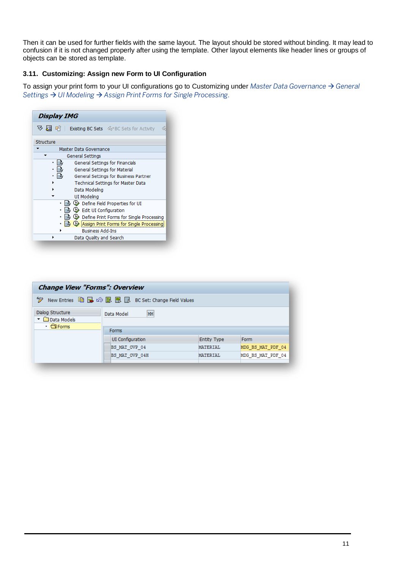Then it can be used for further fields with the same layout. The layout should be stored without binding. It may lead to confusion if it is not changed properly after using the template. Other layout elements like header lines or groups of objects can be stored as template.

### <span id="page-10-0"></span>**3.11. Customizing: Assign new Form to UI Configuration**

To assign your print form to your UI configurations go to Customizing under *Master Data Governance* → *General Settings* → *UI Modeling* → *Assign Print Forms for Single Processing.*

| <b>Display IMG</b>                                       |   |
|----------------------------------------------------------|---|
| <b>▽ 別 中 I Existing BC Sets</b> Sceper Sets for Activity | ሬ |
| Structure                                                |   |
| Master Data Governance                                   |   |
| General Settings                                         |   |
| General Settings for Financials                          |   |
| General Settings for Material                            |   |
| General Settings for Business Partner                    |   |
| <b>Technical Settings for Master Data</b>                |   |
| Data Modeling                                            |   |
| UI Modeling                                              |   |
| Define Field Properties for UI                           |   |
| <b>↓ Edit UI Configuration</b>                           |   |
| Define Print Forms for Single Processing                 |   |
| Assign Print Forms for Single Processing                 |   |
| <b>Business Add-Ins</b>                                  |   |
| Data Quality and Search                                  |   |

| <b>Change View "Forms": Overview</b>                                                                                              |                           |                    |                   |  |  |  |  |
|-----------------------------------------------------------------------------------------------------------------------------------|---------------------------|--------------------|-------------------|--|--|--|--|
| ☜<br>New Entries $\blacksquare$ $\blacksquare$ $\oslash$ $\blacksquare$ $\blacksquare$ $\blacksquare$ BC Set: Change Field Values |                           |                    |                   |  |  |  |  |
| Dialog Structure<br>▼ □ Data Models<br>$\cdot$ $\bigcirc$ Forms                                                                   | MM<br>Data Model          |                    |                   |  |  |  |  |
|                                                                                                                                   | Forms<br>UI Configuration | <b>Entity Type</b> | Form              |  |  |  |  |
|                                                                                                                                   | BS MAT OVP 04             | <b>MATERIAL</b>    | MDG BS MAT PDF 04 |  |  |  |  |
|                                                                                                                                   | BS MAT OVP 04H            | <b>MATERIAL</b>    | MDG BS MAT PDF 04 |  |  |  |  |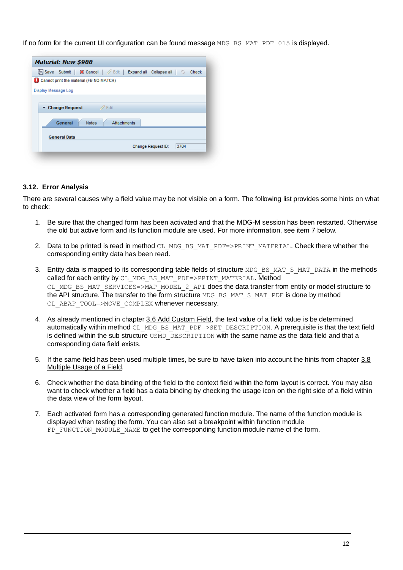If no form for the current UI configuration can be found message MDG\_BS\_MAT\_PDF 015 is displayed.

|                     | <b>Material: New \$988</b>           |                                         |                    |                                                  |      |       |
|---------------------|--------------------------------------|-----------------------------------------|--------------------|--------------------------------------------------|------|-------|
|                     |                                      |                                         |                    | Save Submit   X Cancel   Expand all Collapse all | c.   | Check |
|                     |                                      | Cannot print the material (FB NO MATCH) |                    |                                                  |      |       |
| Display Message Log |                                      |                                         |                    |                                                  |      |       |
|                     |                                      |                                         |                    |                                                  |      |       |
|                     | $\blacktriangleright$ Change Request |                                         | $\mathscr{D}$ Edit |                                                  |      |       |
|                     | General                              | <b>Notes</b>                            | <b>Attachments</b> |                                                  |      |       |
|                     | <b>General Data</b>                  |                                         |                    |                                                  |      |       |
|                     |                                      |                                         |                    | Change Request ID:                               | 3784 |       |

#### <span id="page-11-0"></span>**3.12. Error Analysis**

There are several causes why a field value may be not visible on a form. The following list provides some hints on what to check:

- 1. Be sure that the changed form has been activated and that the MDG-M session has been restarted. Otherwise the old but active form and its function module are used. For more information, see item [7](#page-11-1) below.
- 2. Data to be printed is read in method CL\_MDG\_BS\_MAT\_PDF=>PRINT\_MATERIAL. Check there whether the corresponding entity data has been read.
- 3. Entity data is mapped to its corresponding table fields of structure MDG\_BS\_MAT\_S\_MAT\_DATA in the methods called for each entity by CL\_MDG\_BS\_MAT\_PDF=>PRINT\_MATERIAL. Method CL\_MDG\_BS\_MAT\_SERVICES=>MAP\_MODEL\_2\_API does the data transfer from entity or model structure to the API structure. The transfer to the form structure MDG\_BS\_MAT\_S\_MAT\_PDF is done by method CL\_ABAP\_TOOL=>MOVE\_COMPLEX whenever necessary.
- 4. As already mentioned in chapter [3.6](#page-7-1) [Add Custom Field,](#page-7-1) the text value of a field value is be determined automatically within method CL\_MDG\_BS\_MAT\_PDF=>SET\_DESCRIPTION. A prerequisite is that the text field is defined within the sub structure USMD DESCRIPTION with the same name as the data field and that a corresponding data field exists.
- 5. If the same field has been used multiple times, be sure to have taken into account the hints from chapter [3.8](#page-8-1) [Multiple Usage of a](#page-8-1) Field.
- 6. Check whether the data binding of the field to the context field within the form layout is correct. You may also want to check whether a field has a data binding by checking the usage icon on the right side of a field within the data view of the form layout.
- <span id="page-11-1"></span>7. Each activated form has a corresponding generated function module. The name of the function module is displayed when testing the form. You can also set a breakpoint within function module FP\_FUNCTION\_MODULE\_NAME to get the corresponding function module name of the form.